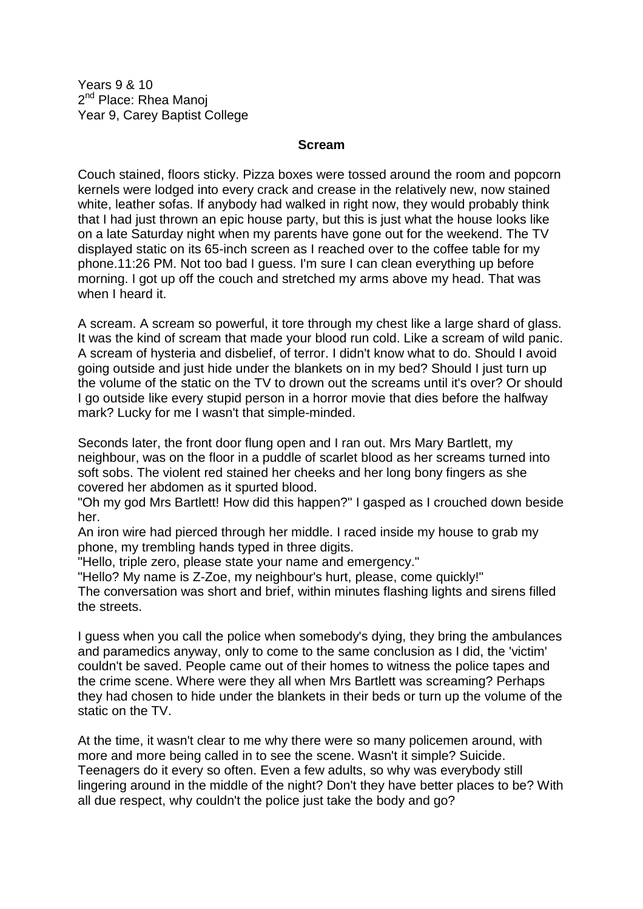Years 9 & 10 2<sup>nd</sup> Place: Rhea Manoj Year 9, Carey Baptist College

## **Scream**

Couch stained, floors sticky. Pizza boxes were tossed around the room and popcorn kernels were lodged into every crack and crease in the relatively new, now stained white, leather sofas. If anybody had walked in right now, they would probably think that I had just thrown an epic house party, but this is just what the house looks like on a late Saturday night when my parents have gone out for the weekend. The TV displayed static on its 65-inch screen as I reached over to the coffee table for my phone.11:26 PM. Not too bad I guess. I'm sure I can clean everything up before morning. I got up off the couch and stretched my arms above my head. That was when I heard it.

A scream. A scream so powerful, it tore through my chest like a large shard of glass. It was the kind of scream that made your blood run cold. Like a scream of wild panic. A scream of hysteria and disbelief, of terror. I didn't know what to do. Should I avoid going outside and just hide under the blankets on in my bed? Should I just turn up the volume of the static on the TV to drown out the screams until it's over? Or should I go outside like every stupid person in a horror movie that dies before the halfway mark? Lucky for me I wasn't that simple-minded.

Seconds later, the front door flung open and I ran out. Mrs Mary Bartlett, my neighbour, was on the floor in a puddle of scarlet blood as her screams turned into soft sobs. The violent red stained her cheeks and her long bony fingers as she covered her abdomen as it spurted blood.

"Oh my god Mrs Bartlett! How did this happen?" I gasped as I crouched down beside her.

An iron wire had pierced through her middle. I raced inside my house to grab my phone, my trembling hands typed in three digits.

"Hello, triple zero, please state your name and emergency."

"Hello? My name is Z-Zoe, my neighbour's hurt, please, come quickly!" The conversation was short and brief, within minutes flashing lights and sirens filled the streets.

I guess when you call the police when somebody's dying, they bring the ambulances and paramedics anyway, only to come to the same conclusion as I did, the 'victim' couldn't be saved. People came out of their homes to witness the police tapes and the crime scene. Where were they all when Mrs Bartlett was screaming? Perhaps they had chosen to hide under the blankets in their beds or turn up the volume of the static on the TV.

At the time, it wasn't clear to me why there were so many policemen around, with more and more being called in to see the scene. Wasn't it simple? Suicide. Teenagers do it every so often. Even a few adults, so why was everybody still lingering around in the middle of the night? Don't they have better places to be? With all due respect, why couldn't the police just take the body and go?